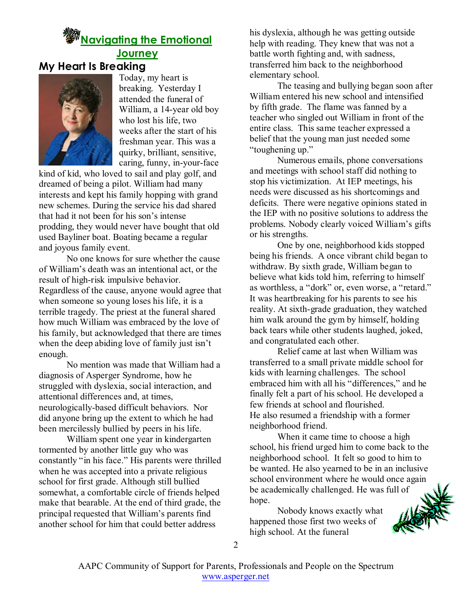## *<sup></sup> Mayigating the Emotional* **Journey**

## **My Heart Is Breaking**



Today, my heart is breaking. Yesterday I attended the funeral of William, a 14-year old boy who lost his life, two weeks after the start of his freshman year. This was a quirky, brilliant, sensitive, caring, funny, in-your-face

kind of kid, who loved to sail and play golf, and dreamed of being a pilot. William had many interests and kept his family hopping with grand new schemes. During the service his dad shared that had it not been for his son's intense prodding, they would never have bought that old used Bayliner boat. Boating became a regular and joyous family event.

No one knows for sure whether the cause of William's death was an intentional act, or the result of high-risk impulsive behavior. Regardless of the cause, anyone would agree that when someone so young loses his life, it is a terrible tragedy. The priest at the funeral shared how much William was embraced by the love of his family, but acknowledged that there are times when the deep abiding love of family just isn't enough.

No mention was made that William had a diagnosis of Asperger Syndrome, how he struggled with dyslexia, social interaction, and attentional differences and, at times, neurologically-based difficult behaviors. Nor did anyone bring up the extent to which he had been mercilessly bullied by peers in his life.

William spent one year in kindergarten tormented by another little guy who was constantly "in his face." His parents were thrilled when he was accepted into a private religious school for first grade. Although still bullied somewhat, a comfortable circle of friends helped make that bearable. At the end of third grade, the principal requested that William's parents find another school for him that could better address

his dyslexia, although he was getting outside help with reading. They knew that was not a battle worth fighting and, with sadness, transferred him back to the neighborhood elementary school.

The teasing and bullying began soon after William entered his new school and intensified by fifth grade. The flame was fanned by a teacher who singled out William in front of the entire class. This same teacher expressed a belief that the young man just needed some "toughening up."

Numerous emails, phone conversations and meetings with school staff did nothing to stop his victimization. At IEP meetings, his needs were discussed as his shortcomings and deficits. There were negative opinions stated in the IEP with no positive solutions to address the problems. Nobody clearly voiced William's gifts or his strengths.

One by one, neighborhood kids stopped being his friends. A once vibrant child began to withdraw. By sixth grade, William began to believe what kids told him, referring to himself as worthless, a "dork" or, even worse, a "retard." It was heartbreaking for his parents to see his reality. At sixth-grade graduation, they watched him walk around the gym by himself, holding back tears while other students laughed, joked, and congratulated each other.

Relief came at last when William was transferred to a small private middle school for kids with learning challenges. The school embraced him with all his "differences," and he finally felt a part of his school. He developed a few friends at school and flourished. He also resumed a friendship with a former neighborhood friend.

When it came time to choose a high school, his friend urged him to come back to the neighborhood school. It felt so good to him to be wanted. He also yearned to be in an inclusive school environment where he would once again be academically challenged. He was full of hope.

Nobody knows exactly what happened those first two weeks of high school. At the funeral

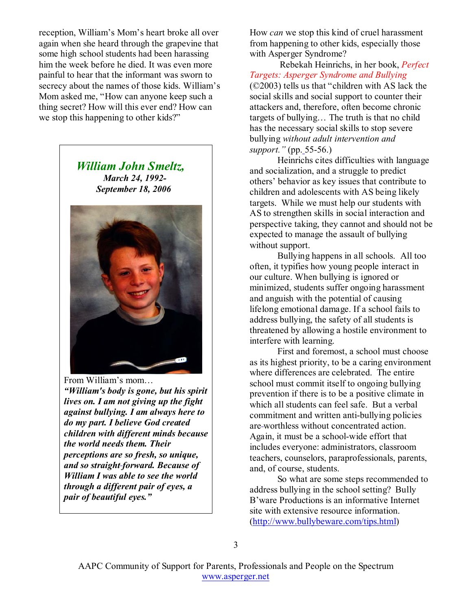reception, William's Mom's heart broke all over again when she heard through the grapevine that some high school students had been harassing him the week before he died. It was even more painful to hear that the informant was sworn to secrecy about the names of those kids. William's Mom asked me, "How can anyone keep such a thing secret? How will this ever end? How can we stop this happening to other kids?"

> *William John Smeltz, March 24, 1992- September 18, 2006*



From William's mom… *"William's body is gone, but his spirit lives on. I am not giving up the fight against bullying. I am always here to do my part. I believe God created children with different minds because the world needs them. Their perceptions are so fresh, so unique, and so straight forward. Because of William I was able to see the world through a different pair of eyes, a pair of beautiful eyes."* 

How *can* we stop this kind of cruel harassment from happening to other kids, especially those with Asperger Syndrome?

 Rebekah Heinrichs, in her book, *Perfect Targets: Asperger Syndrome and Bullying* (©2003) tells us that "children with AS lack the social skills and social support to counter their attackers and, therefore, often become chronic targets of bullying… The truth is that no child has the necessary social skills to stop severe bullying *without adult intervention and support."* (pp. 55-56.)

Heinrichs cites difficulties with language and socialization, and a struggle to predict others' behavior as key issues that contribute to children and adolescents with AS being likely targets. While we must help our students with AS to strengthen skills in social interaction and perspective taking, they cannot and should not be expected to manage the assault of bullying without support.

Bullying happens in all schools. All too often, it typifies how young people interact in our culture. When bullying is ignored or minimized, students suffer ongoing harassment and anguish with the potential of causing lifelong emotional damage. If a school fails to address bullying, the safety of all students is threatened by allowing a hostile environment to interfere with learning.

First and foremost, a school must choose as its highest priority, to be a caring environment where differences are celebrated. The entire school must commit itself to ongoing bullying prevention if there is to be a positive climate in which all students can feel safe. But a verbal commitment and written anti-bullying policies are worthless without concentrated action. Again, it must be a school-wide effort that includes everyone: administrators, classroom teachers, counselors, paraprofessionals, parents, and, of course, students.

So what are some steps recommended to address bullying in the school setting? Bully B'ware Productions is an informative Internet site with extensive resource information. (http://www.bullybeware.com/tips.html)